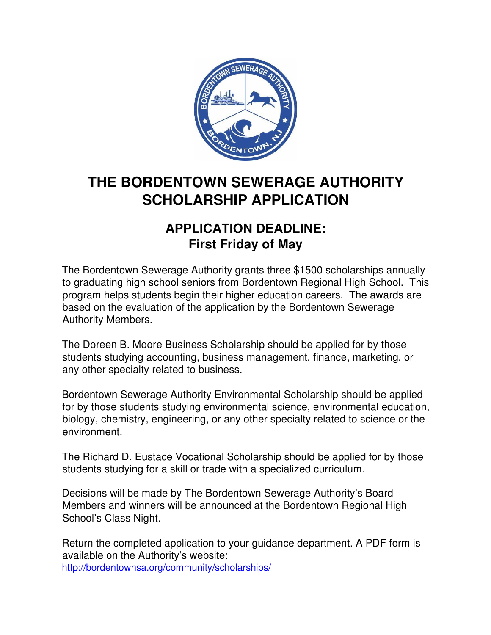

# **THE BORDENTOWN SEWERAGE AUTHORITY SCHOLARSHIP APPLICATION**

### **APPLICATION DEADLINE: First Friday of May**

The Bordentown Sewerage Authority grants three \$1500 scholarships annually to graduating high school seniors from Bordentown Regional High School. This program helps students begin their higher education careers. The awards are based on the evaluation of the application by the Bordentown Sewerage Authority Members.

The Doreen B. Moore Business Scholarship should be applied for by those students studying accounting, business management, finance, marketing, or any other specialty related to business.

Bordentown Sewerage Authority Environmental Scholarship should be applied for by those students studying environmental science, environmental education, biology, chemistry, engineering, or any other specialty related to science or the environment.

The Richard D. Eustace Vocational Scholarship should be applied for by those students studying for a skill or trade with a specialized curriculum.

Decisions will be made by The Bordentown Sewerage Authority's Board Members and winners will be announced at the Bordentown Regional High School's Class Night.

Return the completed application to your guidance department. A PDF form is available on the Authority's website: http://bordentownsa.org/community/scholarships/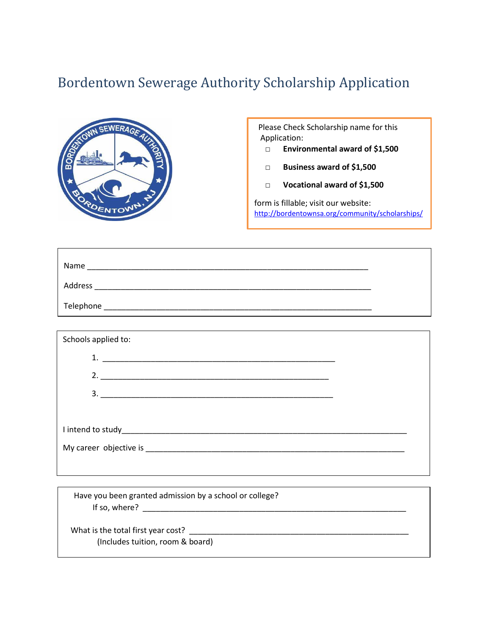## Bordentown Sewerage Authority Scholarship Application



 Please Check Scholarship name for this Application:

- **□ Environmental award of \$1,500**
- **□ Business award of \$1,500**
- **□ Vocational award of \$1,500**

form is fillable; visit our website: <http://bordentownsa.org/community/scholarships/>

| Name      |  |
|-----------|--|
| Address   |  |
| Telephone |  |

| Schools applied to: |  |
|---------------------|--|
|                     |  |
| 2.                  |  |
|                     |  |
|                     |  |
|                     |  |
|                     |  |
|                     |  |

 Have you been granted admission by a school or college? If so, where? \_\_\_\_\_\_\_\_\_\_\_\_\_\_\_\_\_\_\_\_\_\_\_\_\_\_\_\_\_\_\_\_\_\_\_\_\_\_\_\_\_\_\_\_\_\_\_\_\_\_\_\_\_\_\_\_\_\_\_\_

What is the total first year cost? \_\_\_\_\_\_\_\_\_\_\_\_\_\_\_\_\_\_\_\_\_\_\_\_\_\_\_\_\_\_\_\_\_\_\_\_\_\_\_\_\_\_\_\_\_\_\_\_\_\_ (Includes tuition, room & board)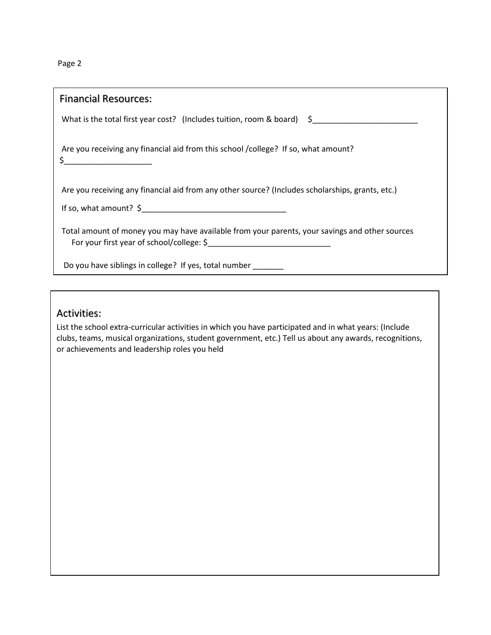Page 2

| <b>Financial Resources:</b>                                                                           |  |
|-------------------------------------------------------------------------------------------------------|--|
| What is the total first year cost? (Includes tuition, room & board) \$_______________________________ |  |
| Are you receiving any financial aid from this school /college? If so, what amount?                    |  |
| Are you receiving any financial aid from any other source? (Includes scholarships, grants, etc.)      |  |
|                                                                                                       |  |
| Total amount of money you may have available from your parents, your savings and other sources        |  |
| Do you have siblings in college? If yes, total number                                                 |  |

#### Activities:

List the school extra-curricular activities in which you have participated and in what years: (Include clubs, teams, musical organizations, student government, etc.) Tell us about any awards, recognitions, or achievements and leadership roles you held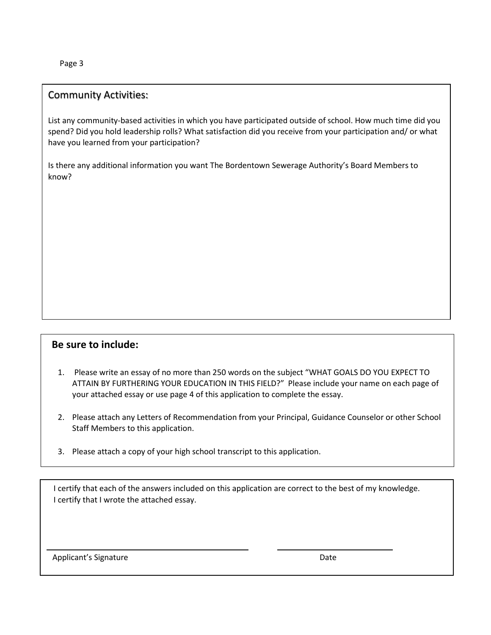Page 3

#### Community Activities:

List any community-based activities in which you have participated outside of school. How much time did you spend? Did you hold leadership rolls? What satisfaction did you receive from your participation and/ or what have you learned from your participation?

Is there any additional information you want The Bordentown Sewerage Authority's Board Members to know?

#### **Be sure to include:**

- 1. Please write an essay of no more than 250 words on the subject "WHAT GOALS DO YOU EXPECT TO ATTAIN BY FURTHERING YOUR EDUCATION IN THIS FIELD?" Please include your name on each page of your attached essay or use page 4 of this application to complete the essay.
- 2. Please attach any Letters of Recommendation from your Principal, Guidance Counselor or other School Staff Members to this application.
- 3. Please attach a copy of your high school transcript to this application.

I certify that each of the answers included on this application are correct to the best of my knowledge. I certify that I wrote the attached essay.

Applicant's Signature Date Date Applicant's Signature Date

 $\overline{\phantom{0}}$